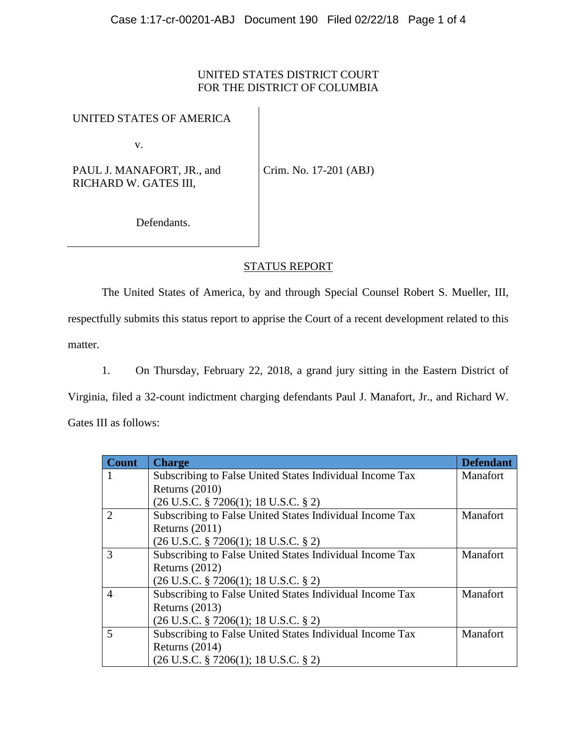## UNITED STATES DISTRICT COURT FOR THE DISTRICT OF COLUMBIA

## UNITED STATES OF AMERICA

v.

PAUL J. MANAFORT, JR., and RICHARD W. GATES III,

Crim. No. 17-201 (ABJ)

Defendants.

## STATUS REPORT

The United States of America, by and through Special Counsel Robert S. Mueller, III,

respectfully submits this status report to apprise the Court of a recent development related to this matter.

1. On Thursday, February 22, 2018, a grand jury sitting in the Eastern District of

Virginia, filed a 32-count indictment charging defendants Paul J. Manafort, Jr., and Richard W.

Gates III as follows:

| <b>Count</b>                | <b>Charge</b>                                            | <b>Defendant</b> |
|-----------------------------|----------------------------------------------------------|------------------|
|                             | Subscribing to False United States Individual Income Tax | Manafort         |
|                             | Returns $(2010)$                                         |                  |
|                             | $(26$ U.S.C. § 7206 $(1)$ ; 18 U.S.C. § 2)               |                  |
| $\mathcal{D}_{\mathcal{L}}$ | Subscribing to False United States Individual Income Tax | Manafort         |
|                             | Returns $(2011)$                                         |                  |
|                             | $(26 \text{ U.S.C. } § 7206(1); 18 \text{ U.S.C. } § 2)$ |                  |
| $\mathcal{R}$               | Subscribing to False United States Individual Income Tax | Manafort         |
|                             | Returns $(2012)$                                         |                  |
|                             | $(26$ U.S.C. § 7206 $(1)$ ; 18 U.S.C. § 2)               |                  |
| $\overline{A}$              | Subscribing to False United States Individual Income Tax | Manafort         |
|                             | Returns $(2013)$                                         |                  |
|                             | $(26 \text{ U.S.C. } § 7206(1); 18 \text{ U.S.C. } § 2)$ |                  |
| $\overline{\phantom{1}}$    | Subscribing to False United States Individual Income Tax | Manafort         |
|                             | Returns $(2014)$                                         |                  |
|                             | $(26 \text{ U.S.C. } § 7206(1); 18 \text{ U.S.C. } § 2)$ |                  |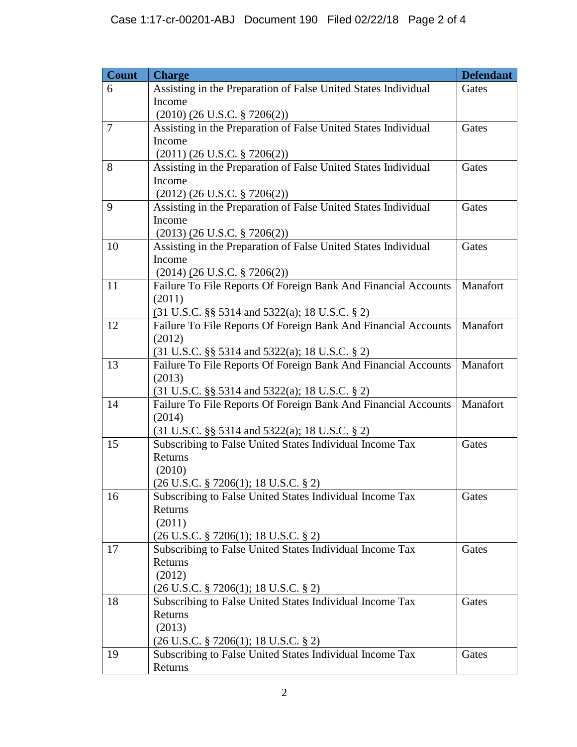| <b>Count</b> | <b>Charge</b>                                                       | <b>Defendant</b> |
|--------------|---------------------------------------------------------------------|------------------|
| 6            | Assisting in the Preparation of False United States Individual      | Gates            |
|              | Income                                                              |                  |
|              | $(2010)$ $(26$ U.S.C. § 7206(2))                                    |                  |
| 7            | Assisting in the Preparation of False United States Individual      | Gates            |
|              | Income                                                              |                  |
|              | $(2011)$ $(26$ U.S.C. § 7206(2))                                    |                  |
| 8            | Assisting in the Preparation of False United States Individual      | Gates            |
|              | Income                                                              |                  |
|              | $(2012)$ $(26$ U.S.C. § 7206(2))                                    |                  |
| 9            | Assisting in the Preparation of False United States Individual      | Gates            |
|              | Income                                                              |                  |
|              | $(2013)$ $(26$ U.S.C. § 7206(2))                                    |                  |
| 10           | Assisting in the Preparation of False United States Individual      | Gates            |
|              | Income                                                              |                  |
|              | $(2014)$ $(26$ U.S.C. § 7206(2))                                    |                  |
| 11           | Failure To File Reports Of Foreign Bank And Financial Accounts      | Manafort         |
|              | (2011)                                                              |                  |
|              | $(31$ U.S.C. §§ 5314 and 5322(a); 18 U.S.C. § 2)                    |                  |
| 12           | Failure To File Reports Of Foreign Bank And Financial Accounts      | Manafort         |
|              | (2012)                                                              |                  |
|              | $(31 \text{ U.S.C. }$ §§ 5314 and 5322(a); 18 U.S.C. § 2)           |                  |
| 13           | Failure To File Reports Of Foreign Bank And Financial Accounts      | Manafort         |
|              | (2013)<br>$(31 \text{ U.S.C. }$ §§ 5314 and 5322(a); 18 U.S.C. § 2) |                  |
| 14           | Failure To File Reports Of Foreign Bank And Financial Accounts      | Manafort         |
|              | (2014)                                                              |                  |
|              | (31 U.S.C. §§ 5314 and 5322(a); 18 U.S.C. § 2)                      |                  |
| 15           | Subscribing to False United States Individual Income Tax            | Gates            |
|              | Returns                                                             |                  |
|              | (2010)                                                              |                  |
|              | $(26 \text{ U.S.C. } § 7206(1); 18 \text{ U.S.C. } § 2)$            |                  |
| 16           | Subscribing to False United States Individual Income Tax            | Gates            |
|              | Returns                                                             |                  |
|              | (2011)                                                              |                  |
|              | $(26 \text{ U.S.C. } § 7206(1); 18 \text{ U.S.C. } § 2)$            |                  |
| 17           | Subscribing to False United States Individual Income Tax            | Gates            |
|              | Returns                                                             |                  |
|              | (2012)                                                              |                  |
|              | $(26 \text{ U.S.C. } § 7206(1); 18 \text{ U.S.C. } § 2)$            |                  |
| 18           | Subscribing to False United States Individual Income Tax            | Gates            |
|              | Returns                                                             |                  |
|              | (2013)                                                              |                  |
|              | $(26 \text{ U.S.C. } § 7206(1); 18 \text{ U.S.C. } § 2)$            |                  |
| 19           | Subscribing to False United States Individual Income Tax            | Gates            |
|              | Returns                                                             |                  |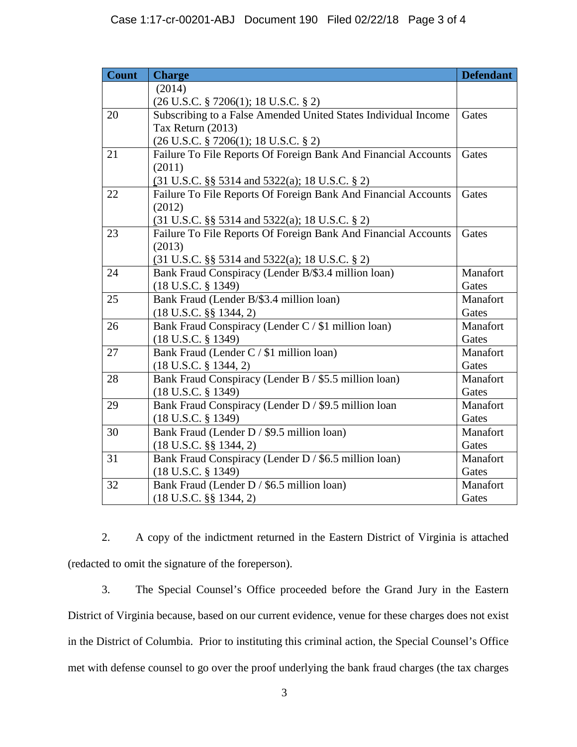| <b>Count</b> | <b>Charge</b>                                                  | <b>Defendant</b> |
|--------------|----------------------------------------------------------------|------------------|
|              | (2014)                                                         |                  |
|              | (26 U.S.C. § 7206(1); 18 U.S.C. § 2)                           |                  |
| 20           | Subscribing to a False Amended United States Individual Income | Gates            |
|              | Tax Return (2013)                                              |                  |
|              | (26 U.S.C. § 7206(1); 18 U.S.C. § 2)                           |                  |
| 21           | Failure To File Reports Of Foreign Bank And Financial Accounts | Gates            |
|              | (2011)                                                         |                  |
|              | $(31 \text{ U.S.C. }$ §§ 5314 and 5322(a); 18 U.S.C. § 2)      |                  |
| 22           | Failure To File Reports Of Foreign Bank And Financial Accounts | Gates            |
|              | (2012)                                                         |                  |
|              | (31 U.S.C. §§ 5314 and 5322(a); 18 U.S.C. § 2)                 |                  |
| 23           | Failure To File Reports Of Foreign Bank And Financial Accounts | Gates            |
|              | (2013)                                                         |                  |
|              | $(31 \text{ U.S.C. }$ §§ 5314 and 5322(a); 18 U.S.C. § 2)      |                  |
| 24           | Bank Fraud Conspiracy (Lender B/\$3.4 million loan)            | Manafort         |
|              | $(18$ U.S.C. § 1349)                                           | Gates            |
| 25           | Bank Fraud (Lender B/\$3.4 million loan)                       | Manafort         |
|              | $(18$ U.S.C. §§ 1344, 2)                                       | Gates            |
| 26           | Bank Fraud Conspiracy (Lender C / \$1 million loan)            | Manafort         |
|              | $(18$ U.S.C. $\S$ 1349)                                        | Gates            |
| 27           | Bank Fraud (Lender C / \$1 million loan)                       | Manafort         |
|              | $(18$ U.S.C. § 1344, 2)                                        | Gates            |
| 28           | Bank Fraud Conspiracy (Lender B / \$5.5 million loan)          | Manafort         |
|              | $(18$ U.S.C. § 1349)                                           | Gates            |
| 29           | Bank Fraud Conspiracy (Lender D / \$9.5 million loan           | Manafort         |
|              | (18 U.S.C. § 1349)                                             | Gates            |
| 30           | Bank Fraud (Lender D / \$9.5 million loan)                     | Manafort         |
|              | $(18$ U.S.C. §§ 1344, 2)                                       | Gates            |
| 31           | Bank Fraud Conspiracy (Lender D / \$6.5 million loan)          | Manafort         |
|              | $(18$ U.S.C. § 1349)                                           | Gates            |
| 32           | Bank Fraud (Lender D / \$6.5 million loan)                     | Manafort         |
|              | $(18$ U.S.C. §§ 1344, 2)                                       | Gates            |

2. A copy of the indictment returned in the Eastern District of Virginia is attached (redacted to omit the signature of the foreperson).

3. The Special Counsel's Office proceeded before the Grand Jury in the Eastern District of Virginia because, based on our current evidence, venue for these charges does not exist in the District of Columbia. Prior to instituting this criminal action, the Special Counsel's Office met with defense counsel to go over the proof underlying the bank fraud charges (the tax charges